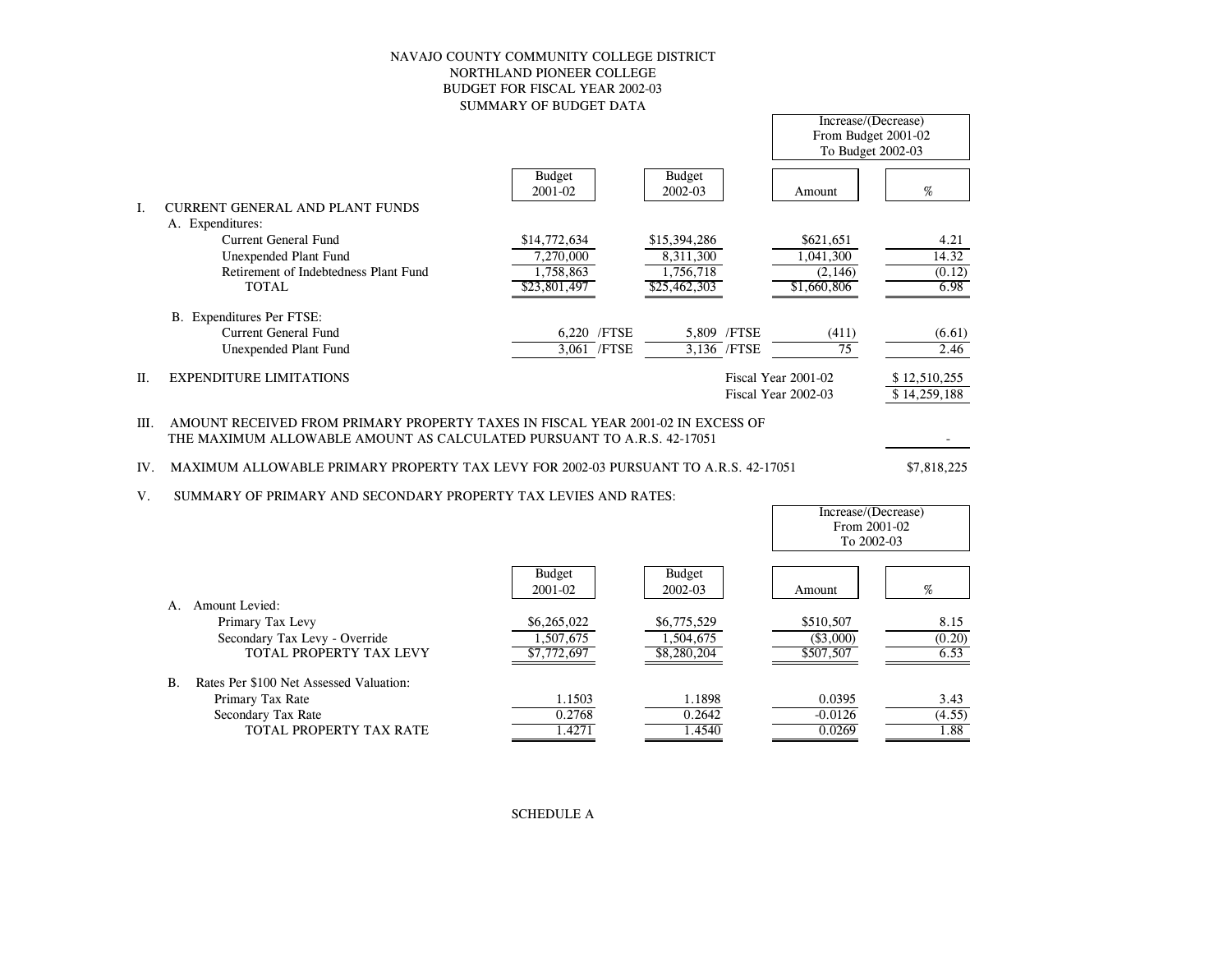# NAVAJO COUNTY COMMUNITY COLLEGE DISTRICT NORTHLAND PIONEER COLLEGEBUDGET FOR FISCAL YEAR 2002-03SUMMARY OF BUDGET DATA

|         |                                        |                          |                          | From Budget 2001-02<br>To Budget 2002-03   |                              |
|---------|----------------------------------------|--------------------------|--------------------------|--------------------------------------------|------------------------------|
|         |                                        | <b>Budget</b><br>2001-02 | <b>Budget</b><br>2002-03 | Amount                                     | %                            |
| L       | <b>CURRENT GENERAL AND PLANT FUNDS</b> |                          |                          |                                            |                              |
|         | A. Expenditures:                       |                          |                          |                                            |                              |
|         | Current General Fund                   | \$14,772,634             | \$15,394,286             | \$621,651                                  | 4.21                         |
|         | Unexpended Plant Fund                  | 7,270,000                | 8,311,300                | 1,041,300                                  | 14.32                        |
|         | Retirement of Indebtedness Plant Fund  | 1,758,863                | 1.756.718                | (2, 146)                                   | (0.12)                       |
|         | <b>TOTAL</b>                           | \$23,801,497             | \$25,462,303             | \$1,660,806                                | 6.98                         |
|         | B. Expenditures Per FTSE:              |                          |                          |                                            |                              |
|         | <b>Current General Fund</b>            | /FTSE<br>6.220           | 5.809 /FTSE              | (411)                                      | (6.61)                       |
|         | Unexpended Plant Fund                  | 3,061 /FTSE              | 3,136 / FTSE             | 75                                         | 2.46                         |
| $\Pi$ . | <b>EXPENDITURE LIMITATIONS</b>         |                          |                          | Fiscal Year 2001-02<br>Fiscal Year 2002-03 | \$12,510,255<br>\$14,259,188 |

III. AMOUNT RECEIVED FROM PRIMARY PROPERTY TAXES IN FISCAL YEAR 2001-02 IN EXCESS OFTHE MAXIMUM ALLOWABLE AMOUNT AS CALCULATED PURSUANT TO A.R.S. 42-17051

# IV. MAXIMUM ALLOWABLE PRIMARY PROPERTY TAX LEVY FOR 2002-03 PURSUANT TO A.R.S. 42-17051

- 100 minutes \$7,818,225

 $\sim$ 

Increase/(Decrease)

V. SUMMARY OF PRIMARY AND SECONDARY PROPERTY TAX LEVIES AND RATES:

|                                                      |                          |                          | Increase/(Decrease)<br>From 2001-02<br>To 2002-03 |        |
|------------------------------------------------------|--------------------------|--------------------------|---------------------------------------------------|--------|
|                                                      | <b>Budget</b><br>2001-02 | <b>Budget</b><br>2002-03 | Amount                                            | %      |
| Amount Levied:<br>A.                                 |                          |                          |                                                   |        |
| Primary Tax Levy                                     | \$6,265,022              | \$6,775,529              | \$510,507                                         | 8.15   |
| Secondary Tax Levy - Override                        | 1,507,675                | 1.504.675                | $(\$3,000)$                                       | (0.20) |
| TOTAL PROPERTY TAX LEVY                              | \$7,772,697              | \$8,280,204              | \$507,507                                         | 6.53   |
| Rates Per \$100 Net Assessed Valuation:<br><b>B.</b> |                          |                          |                                                   |        |
| Primary Tax Rate                                     | 1.1503                   | 1.1898                   | 0.0395                                            | 3.43   |
| Secondary Tax Rate                                   | 0.2768                   | 0.2642                   | $-0.0126$                                         | (4.55) |
| TOTAL PROPERTY TAX RATE                              | 1.4271                   | 1.4540                   | 0.0269                                            | 1.88   |

SCHEDULE A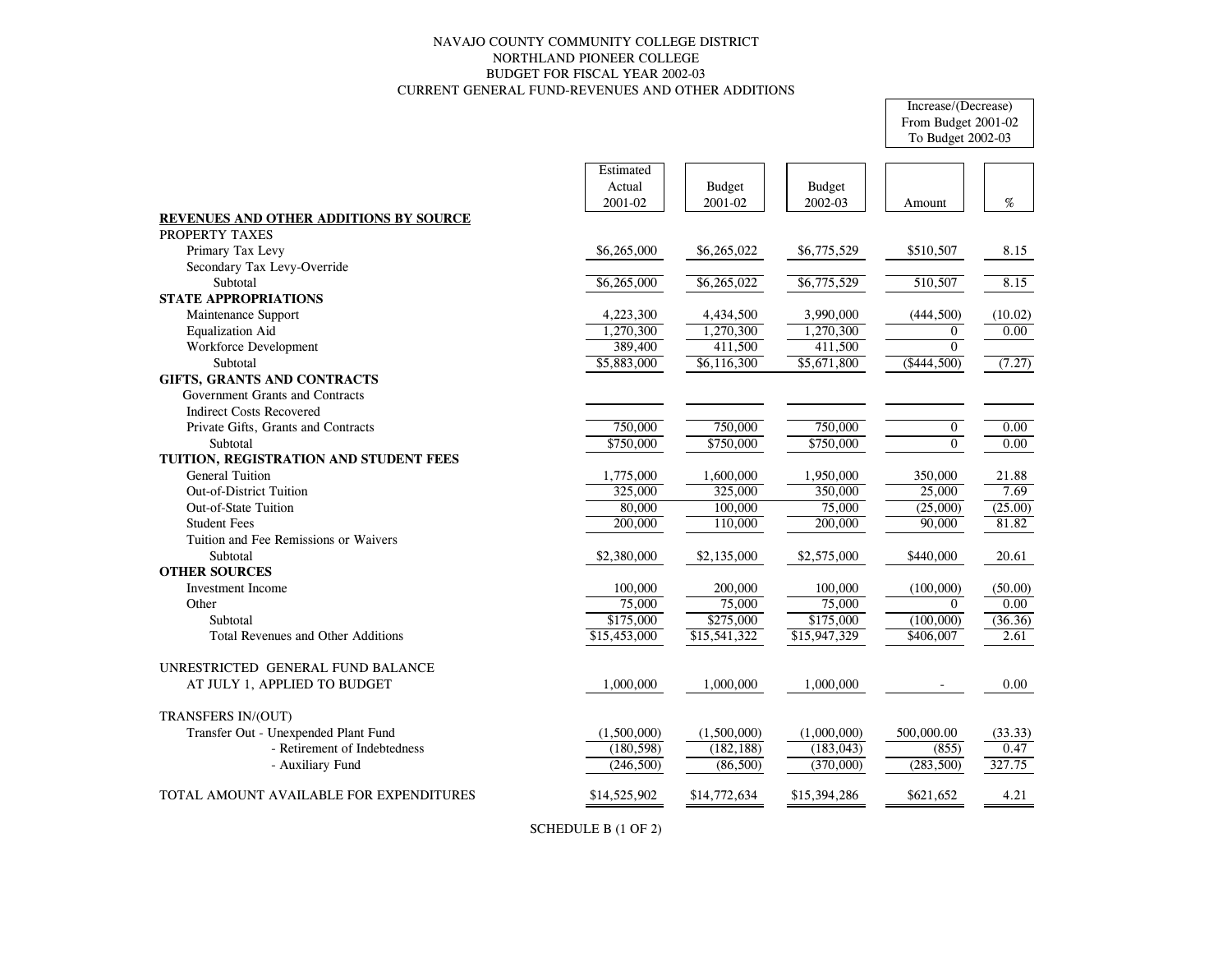# NAVAJO COUNTY COMMUNITY COLLEGE DISTRICT NORTHLAND PIONEER COLLEGE BUDGET FOR FISCAL YEAR 2002-03 CURRENT GENERAL FUND-REVENUES AND OTHER ADDITIONS

# Increase/(Decrease) From Budget 2001-02 To Budget 2002-03

|                                           | Estimated    |               |               |                |         |
|-------------------------------------------|--------------|---------------|---------------|----------------|---------|
|                                           | Actual       | <b>Budget</b> | <b>Budget</b> |                |         |
|                                           | 2001-02      | 2001-02       | 2002-03       | Amount         | %       |
| REVENUES AND OTHER ADDITIONS BY SOURCE    |              |               |               |                |         |
| PROPERTY TAXES                            |              |               |               |                |         |
| Primary Tax Levy                          | \$6,265,000  | \$6,265,022   | \$6,775,529   | \$510,507      | 8.15    |
| Secondary Tax Levy-Override               |              |               |               |                |         |
| Subtotal                                  | \$6,265,000  | \$6,265,022   | \$6,775,529   | 510,507        | 8.15    |
| <b>STATE APPROPRIATIONS</b>               |              |               |               |                |         |
| Maintenance Support                       | 4,223,300    | 4,434,500     | 3,990,000     | (444, 500)     | (10.02) |
| <b>Equalization Aid</b>                   | 1,270,300    | 1,270,300     | 1,270,300     | $\overline{0}$ | 0.00    |
| <b>Workforce Development</b>              | 389,400      | 411,500       | 411,500       | $\Omega$       |         |
| Subtotal                                  | \$5,883,000  | \$6,116,300   | \$5,671,800   | ( \$444, 500)  | (7.27)  |
| GIFTS, GRANTS AND CONTRACTS               |              |               |               |                |         |
| Government Grants and Contracts           |              |               |               |                |         |
| <b>Indirect Costs Recovered</b>           |              |               |               |                |         |
| Private Gifts, Grants and Contracts       | 750,000      | 750,000       | 750,000       | $\overline{0}$ | 0.00    |
| Subtotal                                  | \$750,000    | \$750,000     | \$750,000     | $\overline{0}$ | 0.00    |
| TUITION, REGISTRATION AND STUDENT FEES    |              |               |               |                |         |
| <b>General Tuition</b>                    | 1,775,000    | 1,600,000     | 1,950,000     | 350,000        | 21.88   |
| <b>Out-of-District Tuition</b>            | 325,000      | 325,000       | 350,000       | 25,000         | 7.69    |
| <b>Out-of-State Tuition</b>               | 80,000       | 100,000       | 75,000        | (25,000)       | (25.00) |
| <b>Student Fees</b>                       | 200,000      | 110,000       | 200,000       | 90,000         | 81.82   |
| Tuition and Fee Remissions or Waivers     |              |               |               |                |         |
| Subtotal                                  | \$2,380,000  | \$2,135,000   | \$2,575,000   | \$440,000      | 20.61   |
| <b>OTHER SOURCES</b>                      |              |               |               |                |         |
| <b>Investment Income</b>                  | 100,000      | 200,000       | 100,000       | (100,000)      | (50.00) |
| Other                                     | 75,000       | 75,000        | 75,000        | $\Omega$       | 0.00    |
| Subtotal                                  | \$175,000    | \$275,000     | \$175,000     | (100,000)      | (36.36) |
| <b>Total Revenues and Other Additions</b> | \$15,453,000 | \$15,541,322  | \$15,947,329  | \$406,007      | 2.61    |
| UNRESTRICTED GENERAL FUND BALANCE         |              |               |               |                |         |
| AT JULY 1, APPLIED TO BUDGET              | 1,000,000    | 1,000,000     | 1,000,000     |                | 0.00    |
| TRANSFERS IN/(OUT)                        |              |               |               |                |         |
| Transfer Out - Unexpended Plant Fund      | (1,500,000)  | (1,500,000)   | (1,000,000)   | 500,000.00     | (33.33) |
| - Retirement of Indebtedness              | (180, 598)   | (182, 188)    | (183, 043)    | (855)          | 0.47    |
| - Auxiliary Fund                          | (246,500)    | (86, 500)     | (370,000)     | (283,500)      | 327.75  |
| TOTAL AMOUNT AVAILABLE FOR EXPENDITURES   | \$14,525,902 | \$14,772,634  | \$15,394,286  | \$621,652      | 4.21    |
|                                           |              |               |               |                |         |

SCHEDULE B (1 OF 2)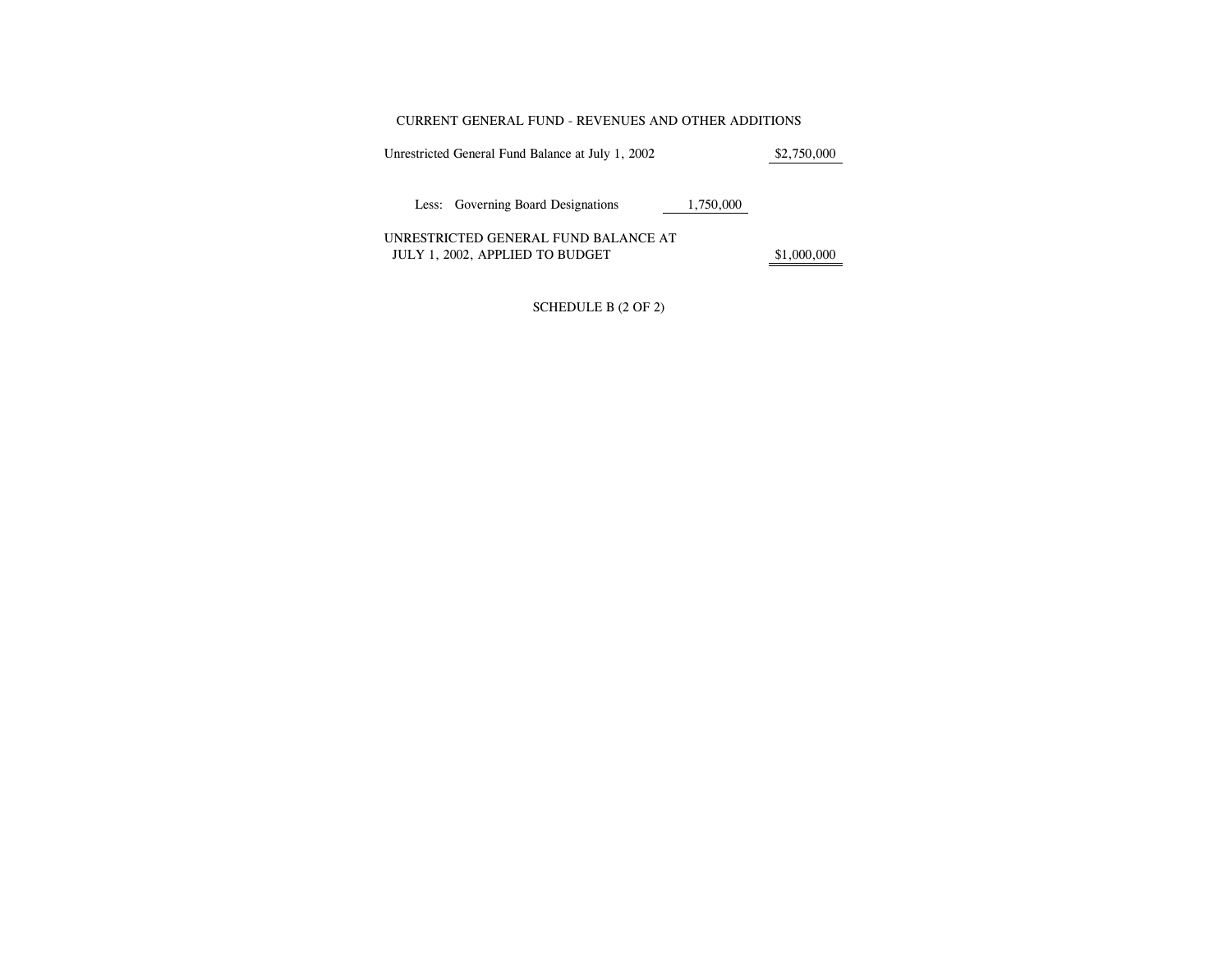#### CURRENT GENERAL FUND - REVENUES AND OTHER ADDITIONS

Unrestricted General Fund Balance at July 1, 2002 \$2,750,000

Less: Governing Board Designations 1,750,000

UNRESTRICTED GENERAL FUND BALANCE AT JULY 1, 2002, APPLIED TO BUDGET  $$1,000,000$ 

SCHEDULE B (2 OF 2)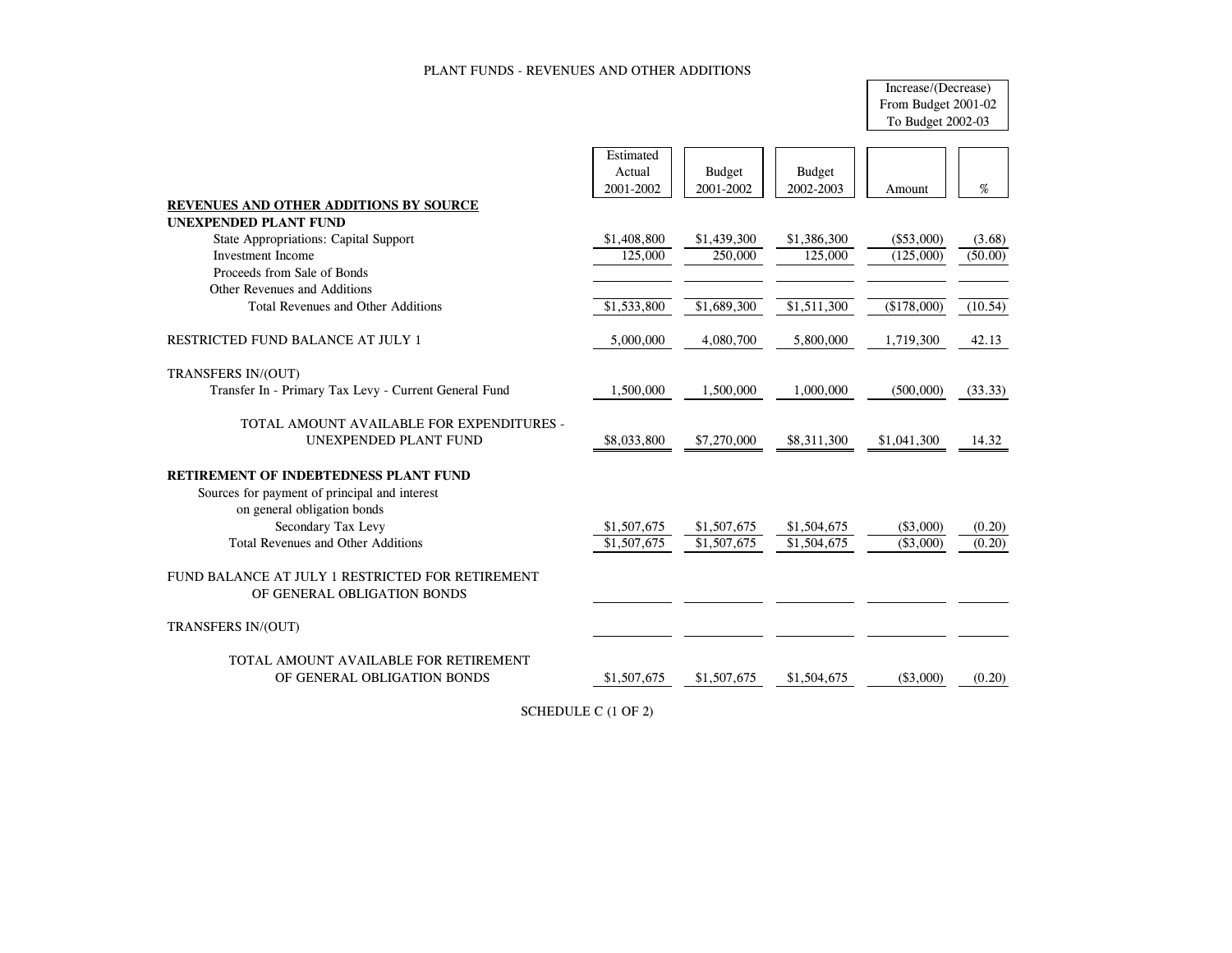### PLANT FUNDS - REVENUES AND OTHER ADDITIONS

# Increase/(Decrease) From Budget 2001-02 To Budget 2002-03

|                                                                                 | Estimated   |               |               |              |         |
|---------------------------------------------------------------------------------|-------------|---------------|---------------|--------------|---------|
|                                                                                 | Actual      | <b>Budget</b> | <b>Budget</b> |              |         |
|                                                                                 | 2001-2002   | 2001-2002     | 2002-2003     | Amount       | $\%$    |
| <b>REVENUES AND OTHER ADDITIONS BY SOURCE</b>                                   |             |               |               |              |         |
| <b>UNEXPENDED PLANT FUND</b>                                                    |             |               |               |              |         |
| <b>State Appropriations: Capital Support</b>                                    | \$1,408,800 | \$1,439,300   | \$1,386,300   | $(\$53,000)$ | (3.68)  |
| <b>Investment Income</b>                                                        | 125,000     | 250,000       | 125,000       | (125,000)    | (50.00) |
| Proceeds from Sale of Bonds                                                     |             |               |               |              |         |
| Other Revenues and Additions                                                    |             |               |               |              |         |
| Total Revenues and Other Additions                                              | \$1,533,800 | \$1,689,300   | \$1,511,300   | (\$178,000)  | (10.54) |
| RESTRICTED FUND BALANCE AT JULY 1                                               | 5,000,000   | 4,080,700     | 5,800,000     | 1,719,300    | 42.13   |
| TRANSFERS IN/(OUT)                                                              |             |               |               |              |         |
| Transfer In - Primary Tax Levy - Current General Fund                           | 1,500,000   | 1,500,000     | 1,000,000     | (500,000)    | (33.33) |
| TOTAL AMOUNT AVAILABLE FOR EXPENDITURES -                                       |             |               |               |              |         |
| <b>UNEXPENDED PLANT FUND</b>                                                    | \$8,033,800 | \$7,270,000   | \$8,311,300   | \$1,041,300  | 14.32   |
| <b>RETIREMENT OF INDEBTEDNESS PLANT FUND</b>                                    |             |               |               |              |         |
| Sources for payment of principal and interest                                   |             |               |               |              |         |
| on general obligation bonds                                                     |             |               |               |              |         |
| Secondary Tax Levy                                                              | \$1,507,675 | \$1,507,675   | \$1,504,675   | $(\$3,000)$  | (0.20)  |
| <b>Total Revenues and Other Additions</b>                                       | \$1,507,675 | \$1,507,675   | \$1,504,675   | $(\$3,000)$  | (0.20)  |
| FUND BALANCE AT JULY 1 RESTRICTED FOR RETIREMENT<br>OF GENERAL OBLIGATION BONDS |             |               |               |              |         |
| <b>TRANSFERS IN/(OUT)</b>                                                       |             |               |               |              |         |
| TOTAL AMOUNT AVAILABLE FOR RETIREMENT                                           |             |               |               |              |         |
| OF GENERAL OBLIGATION BONDS                                                     | \$1,507,675 | \$1,507,675   | \$1,504,675   | ( \$3,000)   | (0.20)  |
|                                                                                 |             |               |               |              |         |

SCHEDULE C (1 OF 2)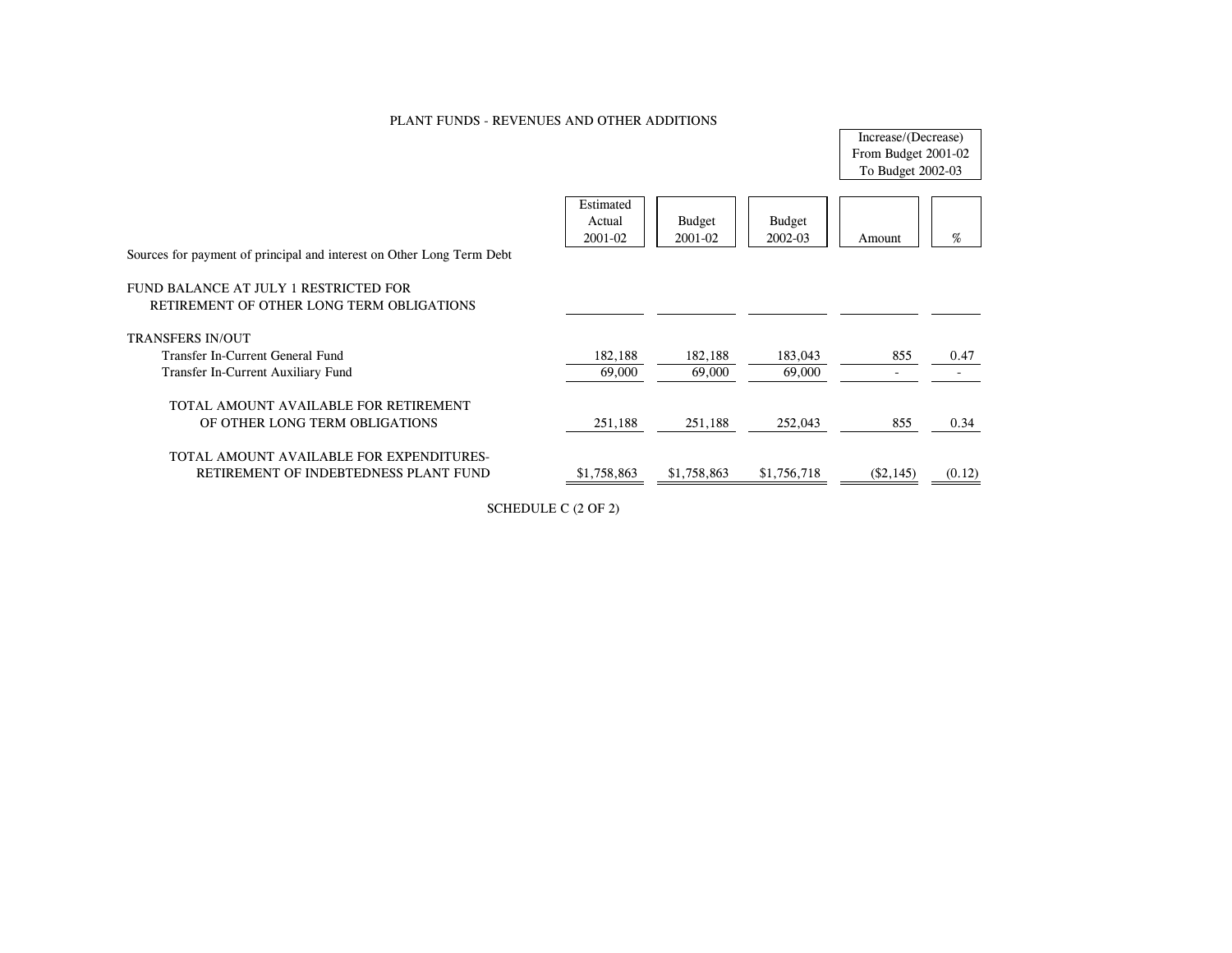## PLANT FUNDS - REVENUES AND OTHER ADDITIONS

Increase/(Decrease) From Budget 2001-02 To Budget 2002-03

| Sources for payment of principal and interest on Other Long Term Debt              | Estimated<br>Actual<br>$2001 - 02$ | <b>Budget</b><br>2001-02 | <b>Budget</b><br>$2002 - 03$ | Amount      | %      |
|------------------------------------------------------------------------------------|------------------------------------|--------------------------|------------------------------|-------------|--------|
| FUND BALANCE AT JULY 1 RESTRICTED FOR<br>RETIREMENT OF OTHER LONG TERM OBLIGATIONS |                                    |                          |                              |             |        |
| TRANSFERS IN/OUT                                                                   |                                    |                          |                              |             |        |
| Transfer In-Current General Fund                                                   | 182,188                            | 182,188                  | 183,043                      | 855         | 0.47   |
| Transfer In-Current Auxiliary Fund                                                 | 69,000                             | 69,000                   | 69,000                       |             |        |
| TOTAL AMOUNT AVAILABLE FOR RETIREMENT<br>OF OTHER LONG TERM OBLIGATIONS            | 251,188                            | 251,188                  | 252,043                      | 855         | 0.34   |
| TOTAL AMOUNT AVAILABLE FOR EXPENDITURES-<br>RETIREMENT OF INDEBTEDNESS PLANT FUND  | \$1,758,863                        | \$1,758,863              | \$1,756,718                  | $(\$2,145)$ | (0.12) |

SCHEDULE C (2 OF 2)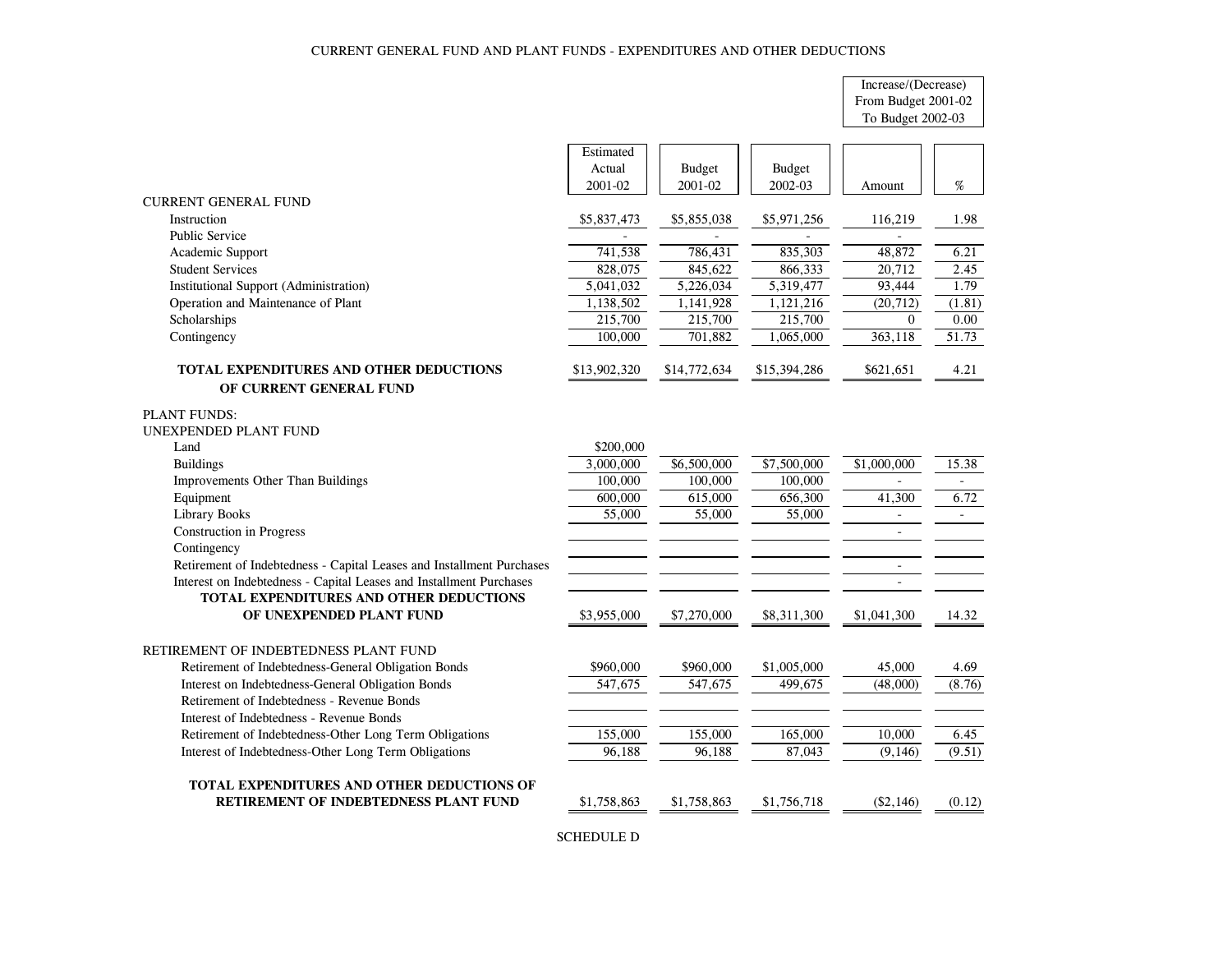#### CURRENT GENERAL FUND AND PLANT FUNDS - EXPENDITURES AND OTHER DEDUCTIONS

# Increase/(Decrease) From Budget 2001-02

To Budget 2002-03

| <b>CURRENT GENERAL FUND</b><br>Instruction<br>\$5,837,473<br>\$5,855,038<br>\$5,971,256<br>116,219<br><b>Public Service</b><br>741,538<br>786.431<br>835,303<br>48.872<br>Academic Support<br>828,075<br><b>Student Services</b><br>845,622<br>866,333<br>20,712<br><b>Institutional Support (Administration)</b><br>5,041,032<br>93,444<br>5,226,034<br>5,319,477<br>Operation and Maintenance of Plant<br>1,138,502<br>(20, 712)<br>1,141,928<br>1,121,216<br>Scholarships<br>215,700<br>215,700<br>215,700<br>$\overline{0}$<br>Contingency<br>100,000<br>701,882<br>1,065,000<br>363,118<br>TOTAL EXPENDITURES AND OTHER DEDUCTIONS<br>\$621,651<br>\$13,902,320<br>\$14,772,634<br>\$15,394,286<br>OF CURRENT GENERAL FUND<br><b>PLANT FUNDS:</b><br>UNEXPENDED PLANT FUND<br>Land<br>\$200,000<br>\$6,500,000<br>3,000,000<br>\$7,500,000<br>\$1,000,000<br><b>Buildings</b><br>100,000<br>Improvements Other Than Buildings<br>100,000<br>100,000<br>Equipment<br>600,000<br>615,000<br>656,300<br>41,300<br>Library Books<br>55,000<br>55,000<br>55,000<br><b>Construction in Progress</b><br>Contingency<br>Retirement of Indebtedness - Capital Leases and Installment Purchases<br>$\overline{\phantom{a}}$<br>Interest on Indebtedness - Capital Leases and Installment Purchases<br>$\sim$<br>TOTAL EXPENDITURES AND OTHER DEDUCTIONS<br>OF UNEXPENDED PLANT FUND<br>\$3,955,000<br>\$7,270,000<br>\$8,311,300<br>\$1,041,300<br>RETIREMENT OF INDEBTEDNESS PLANT FUND<br>Retirement of Indebtedness-General Obligation Bonds<br>\$960,000<br>\$960,000<br>\$1,005,000<br>45,000<br>Interest on Indebtedness-General Obligation Bonds<br>547.675<br>547,675<br>(48,000)<br>499.675<br>Retirement of Indebtedness - Revenue Bonds<br>Interest of Indebtedness - Revenue Bonds<br>Retirement of Indebtedness-Other Long Term Obligations<br>155,000<br>155,000<br>165,000<br>10,000 |                                                      | Estimated<br>Actual<br>2001-02 | <b>Budget</b><br>2001-02 | <b>Budget</b><br>2002-03 | Amount   | %      |
|------------------------------------------------------------------------------------------------------------------------------------------------------------------------------------------------------------------------------------------------------------------------------------------------------------------------------------------------------------------------------------------------------------------------------------------------------------------------------------------------------------------------------------------------------------------------------------------------------------------------------------------------------------------------------------------------------------------------------------------------------------------------------------------------------------------------------------------------------------------------------------------------------------------------------------------------------------------------------------------------------------------------------------------------------------------------------------------------------------------------------------------------------------------------------------------------------------------------------------------------------------------------------------------------------------------------------------------------------------------------------------------------------------------------------------------------------------------------------------------------------------------------------------------------------------------------------------------------------------------------------------------------------------------------------------------------------------------------------------------------------------------------------------------------------------------------------------------------------------------------------------------------|------------------------------------------------------|--------------------------------|--------------------------|--------------------------|----------|--------|
|                                                                                                                                                                                                                                                                                                                                                                                                                                                                                                                                                                                                                                                                                                                                                                                                                                                                                                                                                                                                                                                                                                                                                                                                                                                                                                                                                                                                                                                                                                                                                                                                                                                                                                                                                                                                                                                                                                |                                                      |                                |                          |                          |          |        |
|                                                                                                                                                                                                                                                                                                                                                                                                                                                                                                                                                                                                                                                                                                                                                                                                                                                                                                                                                                                                                                                                                                                                                                                                                                                                                                                                                                                                                                                                                                                                                                                                                                                                                                                                                                                                                                                                                                |                                                      |                                |                          |                          |          | 1.98   |
|                                                                                                                                                                                                                                                                                                                                                                                                                                                                                                                                                                                                                                                                                                                                                                                                                                                                                                                                                                                                                                                                                                                                                                                                                                                                                                                                                                                                                                                                                                                                                                                                                                                                                                                                                                                                                                                                                                |                                                      |                                |                          |                          |          |        |
|                                                                                                                                                                                                                                                                                                                                                                                                                                                                                                                                                                                                                                                                                                                                                                                                                                                                                                                                                                                                                                                                                                                                                                                                                                                                                                                                                                                                                                                                                                                                                                                                                                                                                                                                                                                                                                                                                                |                                                      |                                |                          |                          |          | 6.21   |
|                                                                                                                                                                                                                                                                                                                                                                                                                                                                                                                                                                                                                                                                                                                                                                                                                                                                                                                                                                                                                                                                                                                                                                                                                                                                                                                                                                                                                                                                                                                                                                                                                                                                                                                                                                                                                                                                                                |                                                      |                                |                          |                          |          | 2.45   |
|                                                                                                                                                                                                                                                                                                                                                                                                                                                                                                                                                                                                                                                                                                                                                                                                                                                                                                                                                                                                                                                                                                                                                                                                                                                                                                                                                                                                                                                                                                                                                                                                                                                                                                                                                                                                                                                                                                |                                                      |                                |                          |                          |          | 1.79   |
|                                                                                                                                                                                                                                                                                                                                                                                                                                                                                                                                                                                                                                                                                                                                                                                                                                                                                                                                                                                                                                                                                                                                                                                                                                                                                                                                                                                                                                                                                                                                                                                                                                                                                                                                                                                                                                                                                                |                                                      |                                |                          |                          |          | (1.81) |
|                                                                                                                                                                                                                                                                                                                                                                                                                                                                                                                                                                                                                                                                                                                                                                                                                                                                                                                                                                                                                                                                                                                                                                                                                                                                                                                                                                                                                                                                                                                                                                                                                                                                                                                                                                                                                                                                                                |                                                      |                                |                          |                          |          | 0.00   |
|                                                                                                                                                                                                                                                                                                                                                                                                                                                                                                                                                                                                                                                                                                                                                                                                                                                                                                                                                                                                                                                                                                                                                                                                                                                                                                                                                                                                                                                                                                                                                                                                                                                                                                                                                                                                                                                                                                |                                                      |                                |                          |                          |          | 51.73  |
|                                                                                                                                                                                                                                                                                                                                                                                                                                                                                                                                                                                                                                                                                                                                                                                                                                                                                                                                                                                                                                                                                                                                                                                                                                                                                                                                                                                                                                                                                                                                                                                                                                                                                                                                                                                                                                                                                                |                                                      |                                |                          |                          |          | 4.21   |
|                                                                                                                                                                                                                                                                                                                                                                                                                                                                                                                                                                                                                                                                                                                                                                                                                                                                                                                                                                                                                                                                                                                                                                                                                                                                                                                                                                                                                                                                                                                                                                                                                                                                                                                                                                                                                                                                                                |                                                      |                                |                          |                          |          |        |
|                                                                                                                                                                                                                                                                                                                                                                                                                                                                                                                                                                                                                                                                                                                                                                                                                                                                                                                                                                                                                                                                                                                                                                                                                                                                                                                                                                                                                                                                                                                                                                                                                                                                                                                                                                                                                                                                                                |                                                      |                                |                          |                          |          |        |
|                                                                                                                                                                                                                                                                                                                                                                                                                                                                                                                                                                                                                                                                                                                                                                                                                                                                                                                                                                                                                                                                                                                                                                                                                                                                                                                                                                                                                                                                                                                                                                                                                                                                                                                                                                                                                                                                                                |                                                      |                                |                          |                          |          |        |
|                                                                                                                                                                                                                                                                                                                                                                                                                                                                                                                                                                                                                                                                                                                                                                                                                                                                                                                                                                                                                                                                                                                                                                                                                                                                                                                                                                                                                                                                                                                                                                                                                                                                                                                                                                                                                                                                                                |                                                      |                                |                          |                          |          |        |
|                                                                                                                                                                                                                                                                                                                                                                                                                                                                                                                                                                                                                                                                                                                                                                                                                                                                                                                                                                                                                                                                                                                                                                                                                                                                                                                                                                                                                                                                                                                                                                                                                                                                                                                                                                                                                                                                                                |                                                      |                                |                          |                          |          | 15.38  |
|                                                                                                                                                                                                                                                                                                                                                                                                                                                                                                                                                                                                                                                                                                                                                                                                                                                                                                                                                                                                                                                                                                                                                                                                                                                                                                                                                                                                                                                                                                                                                                                                                                                                                                                                                                                                                                                                                                |                                                      |                                |                          |                          |          |        |
|                                                                                                                                                                                                                                                                                                                                                                                                                                                                                                                                                                                                                                                                                                                                                                                                                                                                                                                                                                                                                                                                                                                                                                                                                                                                                                                                                                                                                                                                                                                                                                                                                                                                                                                                                                                                                                                                                                |                                                      |                                |                          |                          |          | 6.72   |
|                                                                                                                                                                                                                                                                                                                                                                                                                                                                                                                                                                                                                                                                                                                                                                                                                                                                                                                                                                                                                                                                                                                                                                                                                                                                                                                                                                                                                                                                                                                                                                                                                                                                                                                                                                                                                                                                                                |                                                      |                                |                          |                          |          |        |
|                                                                                                                                                                                                                                                                                                                                                                                                                                                                                                                                                                                                                                                                                                                                                                                                                                                                                                                                                                                                                                                                                                                                                                                                                                                                                                                                                                                                                                                                                                                                                                                                                                                                                                                                                                                                                                                                                                |                                                      |                                |                          |                          |          |        |
|                                                                                                                                                                                                                                                                                                                                                                                                                                                                                                                                                                                                                                                                                                                                                                                                                                                                                                                                                                                                                                                                                                                                                                                                                                                                                                                                                                                                                                                                                                                                                                                                                                                                                                                                                                                                                                                                                                |                                                      |                                |                          |                          |          |        |
|                                                                                                                                                                                                                                                                                                                                                                                                                                                                                                                                                                                                                                                                                                                                                                                                                                                                                                                                                                                                                                                                                                                                                                                                                                                                                                                                                                                                                                                                                                                                                                                                                                                                                                                                                                                                                                                                                                |                                                      |                                |                          |                          |          |        |
|                                                                                                                                                                                                                                                                                                                                                                                                                                                                                                                                                                                                                                                                                                                                                                                                                                                                                                                                                                                                                                                                                                                                                                                                                                                                                                                                                                                                                                                                                                                                                                                                                                                                                                                                                                                                                                                                                                |                                                      |                                |                          |                          |          |        |
|                                                                                                                                                                                                                                                                                                                                                                                                                                                                                                                                                                                                                                                                                                                                                                                                                                                                                                                                                                                                                                                                                                                                                                                                                                                                                                                                                                                                                                                                                                                                                                                                                                                                                                                                                                                                                                                                                                |                                                      |                                |                          |                          |          | 14.32  |
|                                                                                                                                                                                                                                                                                                                                                                                                                                                                                                                                                                                                                                                                                                                                                                                                                                                                                                                                                                                                                                                                                                                                                                                                                                                                                                                                                                                                                                                                                                                                                                                                                                                                                                                                                                                                                                                                                                |                                                      |                                |                          |                          |          |        |
|                                                                                                                                                                                                                                                                                                                                                                                                                                                                                                                                                                                                                                                                                                                                                                                                                                                                                                                                                                                                                                                                                                                                                                                                                                                                                                                                                                                                                                                                                                                                                                                                                                                                                                                                                                                                                                                                                                |                                                      |                                |                          |                          |          | 4.69   |
|                                                                                                                                                                                                                                                                                                                                                                                                                                                                                                                                                                                                                                                                                                                                                                                                                                                                                                                                                                                                                                                                                                                                                                                                                                                                                                                                                                                                                                                                                                                                                                                                                                                                                                                                                                                                                                                                                                |                                                      |                                |                          |                          |          | (8.76) |
|                                                                                                                                                                                                                                                                                                                                                                                                                                                                                                                                                                                                                                                                                                                                                                                                                                                                                                                                                                                                                                                                                                                                                                                                                                                                                                                                                                                                                                                                                                                                                                                                                                                                                                                                                                                                                                                                                                |                                                      |                                |                          |                          |          |        |
|                                                                                                                                                                                                                                                                                                                                                                                                                                                                                                                                                                                                                                                                                                                                                                                                                                                                                                                                                                                                                                                                                                                                                                                                                                                                                                                                                                                                                                                                                                                                                                                                                                                                                                                                                                                                                                                                                                |                                                      |                                |                          |                          |          |        |
|                                                                                                                                                                                                                                                                                                                                                                                                                                                                                                                                                                                                                                                                                                                                                                                                                                                                                                                                                                                                                                                                                                                                                                                                                                                                                                                                                                                                                                                                                                                                                                                                                                                                                                                                                                                                                                                                                                |                                                      |                                |                          |                          |          | 6.45   |
|                                                                                                                                                                                                                                                                                                                                                                                                                                                                                                                                                                                                                                                                                                                                                                                                                                                                                                                                                                                                                                                                                                                                                                                                                                                                                                                                                                                                                                                                                                                                                                                                                                                                                                                                                                                                                                                                                                | Interest of Indebtedness-Other Long Term Obligations | 96.188                         | 96.188                   | 87,043                   | (9, 146) | (9.51) |
| <b>TOTAL EXPENDITURES AND OTHER DEDUCTIONS OF</b>                                                                                                                                                                                                                                                                                                                                                                                                                                                                                                                                                                                                                                                                                                                                                                                                                                                                                                                                                                                                                                                                                                                                                                                                                                                                                                                                                                                                                                                                                                                                                                                                                                                                                                                                                                                                                                              |                                                      |                                |                          |                          |          |        |
| RETIREMENT OF INDEBTEDNESS PLANT FUND<br>\$1,758,863<br>$(\$2,146)$<br>\$1,758,863<br>\$1,756,718                                                                                                                                                                                                                                                                                                                                                                                                                                                                                                                                                                                                                                                                                                                                                                                                                                                                                                                                                                                                                                                                                                                                                                                                                                                                                                                                                                                                                                                                                                                                                                                                                                                                                                                                                                                              |                                                      |                                |                          |                          |          | (0.12) |

SCHEDULE D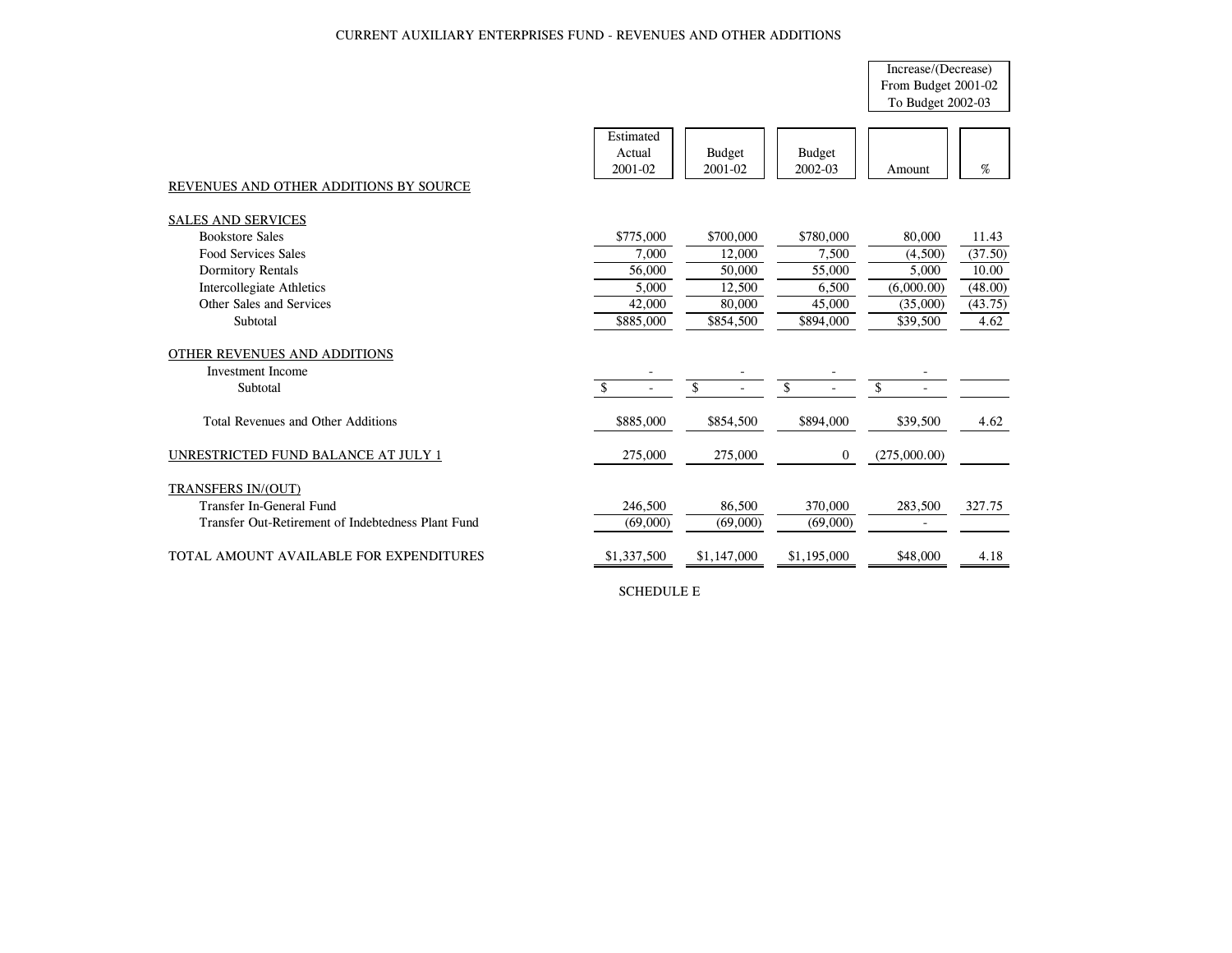### CURRENT AUXILIARY ENTERPRISES FUND - REVENUES AND OTHER ADDITIONS

# Increase/(Decrease) From Budget 2001-02 To Budget 2002-03

| REVENUES AND OTHER ADDITIONS BY SOURCE                               | Estimated<br>Actual<br>2001-02 | <b>Budget</b><br>2001-02 | <b>Budget</b><br>2002-03 | Amount       | $\%$    |
|----------------------------------------------------------------------|--------------------------------|--------------------------|--------------------------|--------------|---------|
| <b>SALES AND SERVICES</b>                                            |                                |                          |                          |              |         |
| <b>Bookstore Sales</b>                                               | \$775,000                      | \$700,000                | \$780,000                | 80,000       | 11.43   |
| <b>Food Services Sales</b>                                           | 7,000                          | 12,000                   | 7,500                    | (4,500)      | (37.50) |
| <b>Dormitory Rentals</b>                                             | 56,000                         | 50,000                   | 55,000                   | 5.000        | 10.00   |
| Intercollegiate Athletics                                            | 5,000                          | 12,500                   | 6,500                    | (6,000.00)   | (48.00) |
| Other Sales and Services                                             | 42,000                         | 80,000                   | 45,000                   | (35,000)     | (43.75) |
| Subtotal                                                             | \$885,000                      | \$854,500                | \$894,000                | \$39,500     | 4.62    |
| OTHER REVENUES AND ADDITIONS<br><b>Investment Income</b><br>Subtotal | $\mathcal{S}$                  | \$                       | \$                       | \$           |         |
| Total Revenues and Other Additions                                   | \$885,000                      | \$854,500                | \$894,000                | \$39,500     | 4.62    |
| UNRESTRICTED FUND BALANCE AT JULY 1                                  | 275,000                        | 275,000                  | $\overline{0}$           | (275,000.00) |         |
| TRANSFERS IN/(OUT)                                                   |                                |                          |                          |              |         |
| Transfer In-General Fund                                             | 246,500                        | 86,500                   | 370,000                  | 283,500      | 327.75  |
| Transfer Out-Retirement of Indebtedness Plant Fund                   | (69,000)                       | (69,000)                 | (69,000)                 |              |         |
| TOTAL AMOUNT AVAILABLE FOR EXPENDITURES                              | \$1,337,500                    | \$1,147,000              | \$1,195,000              | \$48,000     | 4.18    |

SCHEDULE E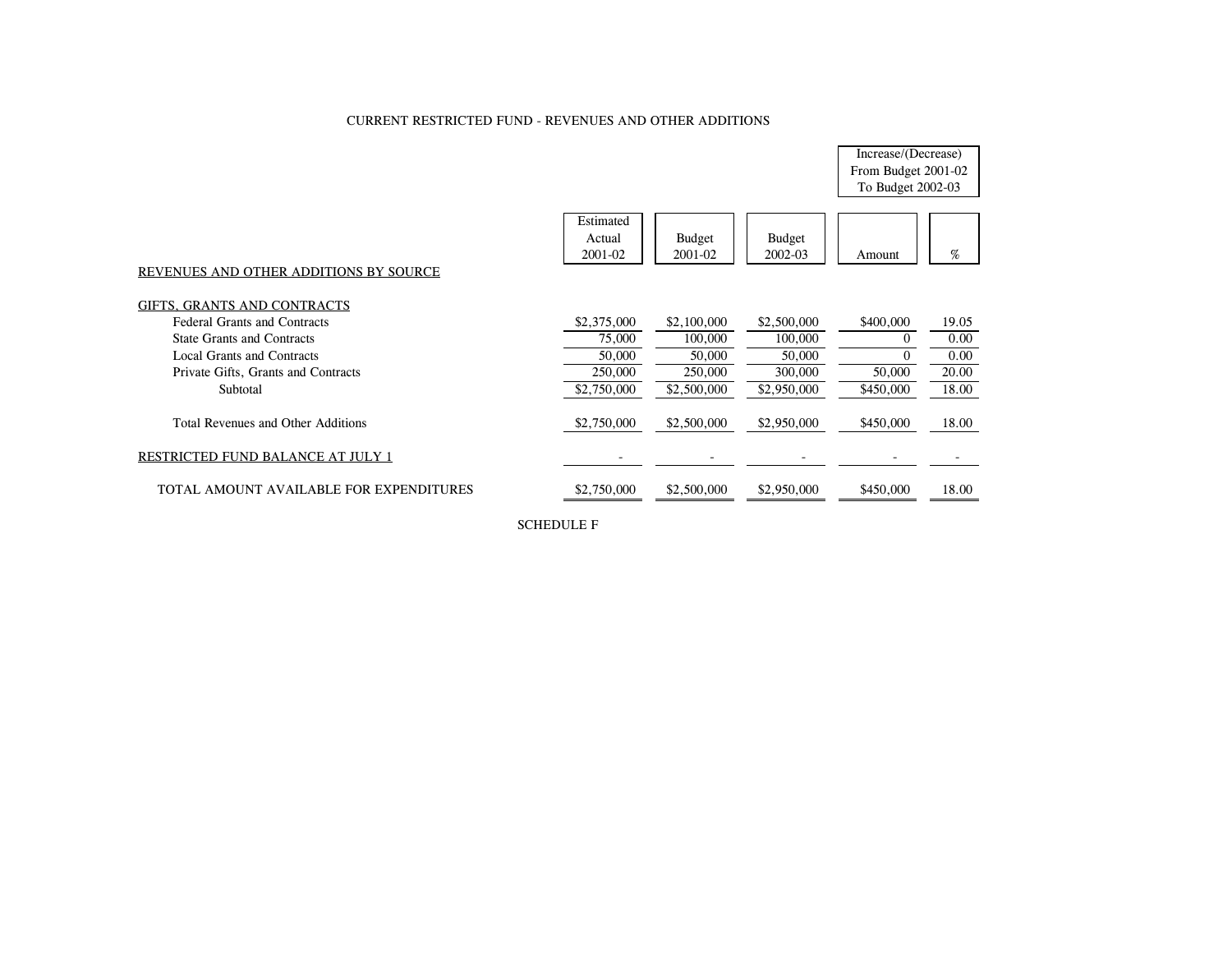## CURRENT RESTRICTED FUND - REVENUES AND OTHER ADDITIONS

Increase/(Decrease) From Budget 2001-02 To Budget 2002-03

| REVENUES AND OTHER ADDITIONS BY SOURCE  | Estimated<br>Actual<br>2001-02 | <b>Budget</b><br>2001-02 | <b>Budget</b><br>2002-03 | Amount    | %     |
|-----------------------------------------|--------------------------------|--------------------------|--------------------------|-----------|-------|
| GIFTS, GRANTS AND CONTRACTS             |                                |                          |                          |           |       |
| <b>Federal Grants and Contracts</b>     | \$2,375,000                    | \$2,100,000              | \$2,500,000              | \$400,000 | 19.05 |
| <b>State Grants and Contracts</b>       | 75,000                         | 100,000                  | 100,000                  | $\Omega$  | 0.00  |
| Local Grants and Contracts              | 50,000                         | 50,000                   | 50,000                   | $\Omega$  | 0.00  |
| Private Gifts, Grants and Contracts     | 250,000                        | 250,000                  | 300,000                  | 50,000    | 20.00 |
| Subtotal                                | \$2,750,000                    | \$2,500,000              | \$2,950,000              | \$450,000 | 18.00 |
| Total Revenues and Other Additions      | \$2,750,000                    | \$2,500,000              | \$2,950,000              | \$450,000 | 18.00 |
| RESTRICTED FUND BALANCE AT JULY 1       |                                |                          |                          |           |       |
| TOTAL AMOUNT AVAILABLE FOR EXPENDITURES | \$2,750,000                    | \$2,500,000              | \$2,950,000              | \$450,000 | 18.00 |

SCHEDULE F